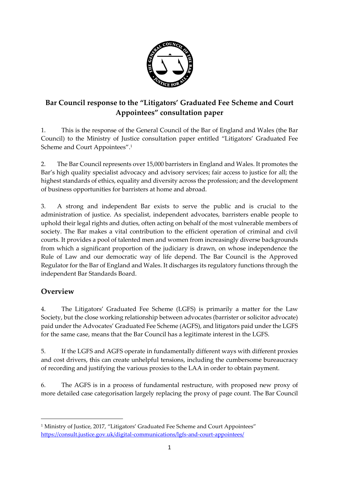

# **Bar Council response to the "Litigators' Graduated Fee Scheme and Court Appointees" consultation paper**

1. This is the response of the General Council of the Bar of England and Wales (the Bar Council) to the Ministry of Justice consultation paper entitled "Litigators' Graduated Fee Scheme and Court Appointees". 1

2. The Bar Council represents over 15,000 barristers in England and Wales. It promotes the Bar's high quality specialist advocacy and advisory services; fair access to justice for all; the highest standards of ethics, equality and diversity across the profession; and the development of business opportunities for barristers at home and abroad.

3. A strong and independent Bar exists to serve the public and is crucial to the administration of justice. As specialist, independent advocates, barristers enable people to uphold their legal rights and duties, often acting on behalf of the most vulnerable members of society. The Bar makes a vital contribution to the efficient operation of criminal and civil courts. It provides a pool of talented men and women from increasingly diverse backgrounds from which a significant proportion of the judiciary is drawn, on whose independence the Rule of Law and our democratic way of life depend. The Bar Council is the Approved Regulator for the Bar of England and Wales. It discharges its regulatory functions through the independent Bar Standards Board.

# **Overview**

**.** 

4. The Litigators' Graduated Fee Scheme (LGFS) is primarily a matter for the Law Society, but the close working relationship between advocates (barrister or solicitor advocate) paid under the Advocates' Graduated Fee Scheme (AGFS), and litigators paid under the LGFS for the same case, means that the Bar Council has a legitimate interest in the LGFS.

5. If the LGFS and AGFS operate in fundamentally different ways with different proxies and cost drivers, this can create unhelpful tensions, including the cumbersome bureaucracy of recording and justifying the various proxies to the LAA in order to obtain payment.

6. The AGFS is in a process of fundamental restructure, with proposed new proxy of more detailed case categorisation largely replacing the proxy of page count. The Bar Council

<sup>&</sup>lt;sup>1</sup> Ministry of Justice, 2017, "Litigators' Graduated Fee Scheme and Court Appointees" <https://consult.justice.gov.uk/digital-communications/lgfs-and-court-appointees/>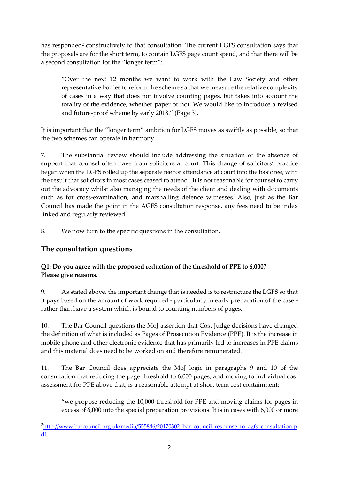has responded<sup>2</sup> constructively to that consultation. The current LGFS consultation says that the proposals are for the short term, to contain LGFS page count spend, and that there will be a second consultation for the "longer term":

"Over the next 12 months we want to work with the Law Society and other representative bodies to reform the scheme so that we measure the relative complexity of cases in a way that does not involve counting pages, but takes into account the totality of the evidence, whether paper or not. We would like to introduce a revised and future-proof scheme by early 2018." (Page 3).

It is important that the "longer term" ambition for LGFS moves as swiftly as possible, so that the two schemes can operate in harmony.

7. The substantial review should include addressing the situation of the absence of support that counsel often have from solicitors at court. This change of solicitors' practice began when the LGFS rolled up the separate fee for attendance at court into the basic fee, with the result that solicitors in most cases ceased to attend. It is not reasonable for counsel to carry out the advocacy whilst also managing the needs of the client and dealing with documents such as for cross-examination, and marshalling defence witnesses. Also, just as the Bar Council has made the point in the AGFS consultation response, any fees need to be index linked and regularly reviewed.

8. We now turn to the specific questions in the consultation.

# **The consultation questions**

1

### **Q1: Do you agree with the proposed reduction of the threshold of PPE to 6,000? Please give reasons.**

9. As stated above, the important change that is needed is to restructure the LGFS so that it pays based on the amount of work required - particularly in early preparation of the case rather than have a system which is bound to counting numbers of pages.

10. The Bar Council questions the MoJ assertion that Cost Judge decisions have changed the definition of what is included as Pages of Prosecution Evidence (PPE). It is the increase in mobile phone and other electronic evidence that has primarily led to increases in PPE claims and this material does need to be worked on and therefore remunerated.

11. The Bar Council does appreciate the MoJ logic in paragraphs 9 and 10 of the consultation that reducing the page threshold to 6,000 pages, and moving to individual cost assessment for PPE above that, is a reasonable attempt at short term cost containment:

"we propose reducing the 10,000 threshold for PPE and moving claims for pages in excess of 6,000 into the special preparation provisions. It is in cases with 6,000 or more

<sup>&</sup>lt;sup>2</sup>[http://www.barcouncil.org.uk/media/555846/20170302\\_bar\\_council\\_response\\_to\\_agfs\\_consultation.p](http://www.barcouncil.org.uk/media/555846/20170302_bar_council_response_to_agfs_consultation.pdf) [df](http://www.barcouncil.org.uk/media/555846/20170302_bar_council_response_to_agfs_consultation.pdf)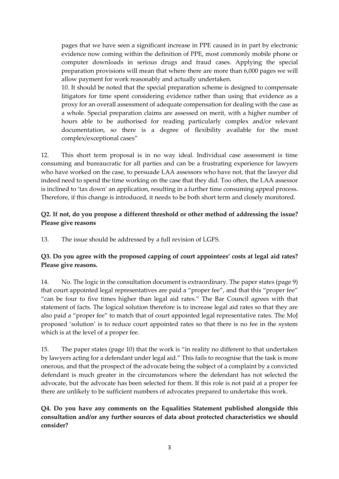pages that we have seen a significant increase in PPE caused in in part by electronic evidence now coming within the definition of PPE, most commonly mobile phone or computer downloads in serious drugs and fraud cases. Applying the special preparation provisions will mean that where there are more than 6,000 pages we will allow payment for work reasonably and actually undertaken.

10. It should be noted that the special preparation scheme is designed to compensate litigators for time spent considering evidence rather than using that evidence as a proxy for an overall assessment of adequate compensation for dealing with the case as a whole. Special preparation claims are assessed on merit, with a higher number of hours able to be authorised for reading particularly complex and/or relevant documentation, so there is a degree of flexibility available for the most complex/exceptional cases"

12. This short term proposal is in no way ideal. Individual case assessment is time consuming and bureaucratic for all parties and can be a frustrating experience for lawyers who have worked on the case, to persuade LAA assessors who have not, that the lawyer did indeed need to spend the time working on the case that they did. Too often, the LAA assessor is inclined to 'tax down' an application, resulting in a further time consuming appeal process. Therefore, if this change is introduced, it needs to be both short term and closely monitored.

#### **Q2. If not, do you propose a different threshold or other method of addressing the issue? Please give reasons**

13. The issue should be addressed by a full revision of LGFS.

### **Q3. Do you agree with the proposed capping of court appointees' costs at legal aid rates? Please give reasons.**

14. No. The logic in the consultation document is extraordinary. The paper states (page 9) that court appointed legal representatives are paid a "proper fee", and that this "proper fee" "can be four to five times higher than legal aid rates." The Bar Council agrees with that statement of facts. The logical solution therefore is to increase legal aid rates so that they are also paid a "proper fee" to match that of court appointed legal representative rates. The MoJ proposed 'solution' is to reduce court appointed rates so that there is no fee in the system which is at the level of a proper fee.

15. The paper states (page 10) that the work is "in reality no different to that undertaken by lawyers acting for a defendant under legal aid." This fails to recognise that the task is more onerous, and that the prospect of the advocate being the subject of a complaint by a convicted defendant is much greater in the circumstances where the defendant has not selected the advocate, but the advocate has been selected for them. If this role is not paid at a proper fee there are unlikely to be sufficient numbers of advocates prepared to undertake this work.

**Q4. Do you have any comments on the Equalities Statement published alongside this consultation and/or any further sources of data about protected characteristics we should consider?**